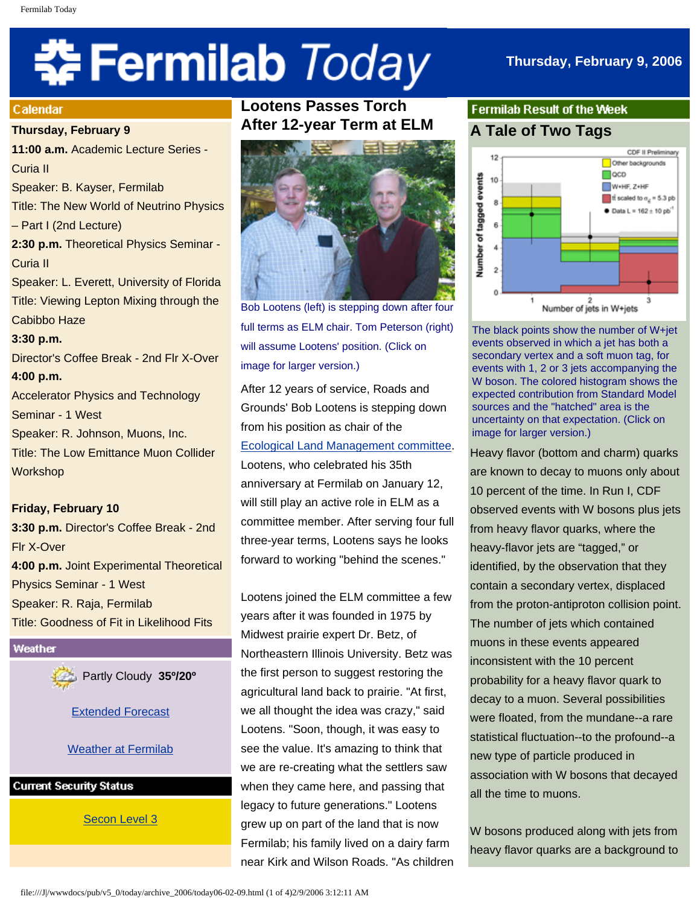# 추 Fermilab *Today*

## **Calendar**

**Thursday, February 9**

**11:00 a.m.** Academic Lecture Series - Curia II Speaker: B. Kayser, Fermilab Title: The New World of Neutrino Physics – Part I (2nd Lecture) **2:30 p.m.** Theoretical Physics Seminar - Curia II Speaker: L. Everett, University of Florida Title: Viewing Lepton Mixing through the Cabibbo Haze **3:30 p.m.** Director's Coffee Break - 2nd Flr X-Over **4:00 p.m.**

Accelerator Physics and Technology Seminar - 1 West Speaker: R. Johnson, Muons, Inc. Title: The Low Emittance Muon Collider **Workshop** 

## **Friday, February 10**

**3:30 p.m.** Director's Coffee Break - 2nd Flr X-Over **4:00 p.m.** Joint Experimental Theoretical Physics Seminar - 1 West Speaker: R. Raja, Fermilab Title: Goodness of Fit in Likelihood Fits

Weather

Partly Cloudy **35º/20º**

[Extended Forecast](http://www.srh.noaa.gov/data/forecasts/ILZ012.php?warncounty=ILC089&city=Batavia)

## [Weather at Fermilab](http://www-esh.fnal.gov/pls/default/weather.html)

**Current Security Status** 

[Secon Level 3](http://www.fnal.gov/pub/about/public_affairs/currentstatus.html)

# **Lootens Passes Torch After 12-year Term at ELM**



Bob Lootens (left) is stepping down after four full terms as ELM chair. Tom Peterson (right) will assume Lootens' position. (Click on image for larger version.)

After 12 years of service, Roads and Grounds' Bob Lootens is stepping down from his position as chair of the [Ecological Land Management committee](http://www.fnal.gov/pub/about/campus/ecology/elm/index.html). Lootens, who celebrated his 35th anniversary at Fermilab on January 12, will still play an active role in ELM as a committee member. After serving four full three-year terms, Lootens says he looks forward to working "behind the scenes."

Lootens joined the ELM committee a few years after it was founded in 1975 by Midwest prairie expert Dr. Betz, of Northeastern Illinois University. Betz was the first person to suggest restoring the agricultural land back to prairie. "At first, we all thought the idea was crazy," said Lootens. "Soon, though, it was easy to see the value. It's amazing to think that we are re-creating what the settlers saw when they came here, and passing that legacy to future generations." Lootens grew up on part of the land that is now Fermilab; his family lived on a dairy farm near Kirk and Wilson Roads. "As children

# **Fermilab Result of the Week A Tale of Two Tags**



The black points show the number of W+jet events observed in which a jet has both a secondary vertex and a soft muon tag, for events with 1, 2 or 3 jets accompanying the W boson. The colored histogram shows the expected contribution from Standard Model sources and the "hatched" area is the uncertainty on that expectation. (Click on image for larger version.)

Heavy flavor (bottom and charm) quarks are known to decay to muons only about 10 percent of the time. In Run I, CDF observed events with W bosons plus jets from heavy flavor quarks, where the heavy-flavor jets are "tagged," or identified, by the observation that they contain a secondary vertex, displaced from the proton-antiproton collision point. The number of jets which contained muons in these events appeared inconsistent with the 10 percent probability for a heavy flavor quark to decay to a muon. Several possibilities were floated, from the mundane--a rare statistical fluctuation--to the profound--a new type of particle produced in association with W bosons that decayed all the time to muons.

W bosons produced along with jets from heavy flavor quarks are a background to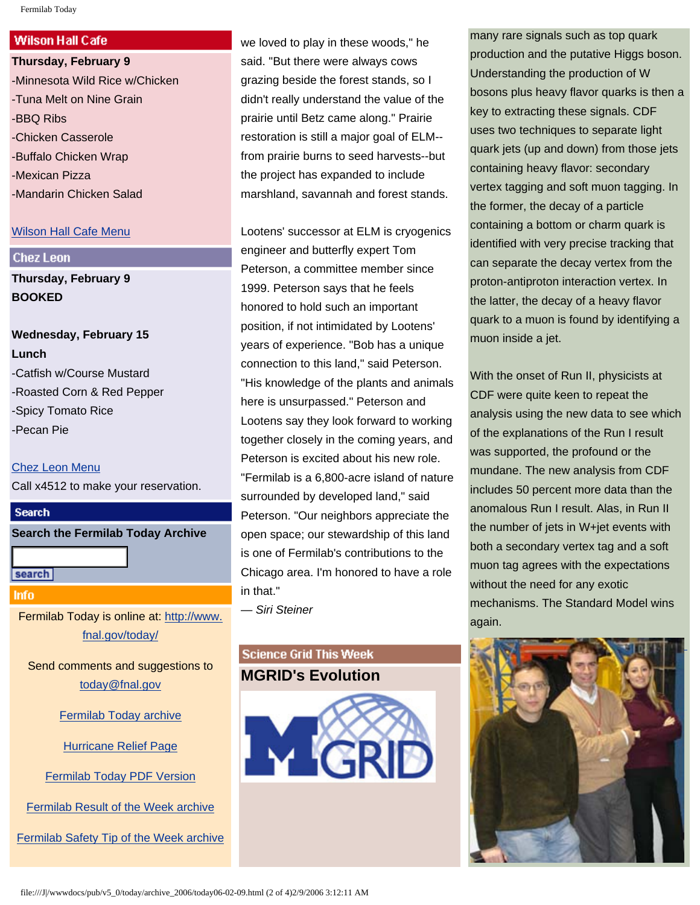## **Wilson Hall Cafe**

**Thursday, February 9** -Minnesota Wild Rice w/Chicken -Tuna Melt on Nine Grain -BBQ Ribs -Chicken Casserole -Buffalo Chicken Wrap -Mexican Pizza -Mandarin Chicken Salad

## [Wilson Hall Cafe Menu](http://lss.fnal.gov/cafe/)

## **Chez Leon**

**Thursday, February 9 BOOKED**

**Wednesday, February 15 Lunch** -Catfish w/Course Mustard -Roasted Corn & Red Pepper -Spicy Tomato Rice -Pecan Pie

#### [Chez Leon Menu](http://lss.fnal.gov/chezleon/index.html)

Call x4512 to make your reservation.

## **Search**

**Search the Fermilab Today Archive**

search

## **Info**

Fermilab Today is online at: [http://www.](http://www.fnal.gov/today/) [fnal.gov/today/](http://www.fnal.gov/today/)

Send comments and suggestions to [today@fnal.gov](mailto:today@fnal.gov)

[Fermilab Today archive](http://www.fnal.gov/pub/today/archive.html)

[Hurricane Relief Page](http://www.fnal.gov/pub/today/katrina_relief.html)

[Fermilab Today PDF Version](http://www.fnal.gov/pub/today/archive.html)

[Fermilab Result of the Week archive](http://www.fnal.gov/pub/today/resultoftheweek/index.html)

[Fermilab Safety Tip of the Week archive](http://www.fnal.gov/pub/today/safety/index.html)

we loved to play in these woods," he said. "But there were always cows grazing beside the forest stands, so I didn't really understand the value of the prairie until Betz came along." Prairie restoration is still a major goal of ELM- from prairie burns to seed harvests--but the project has expanded to include marshland, savannah and forest stands.

Lootens' successor at ELM is cryogenics engineer and butterfly expert Tom Peterson, a committee member since 1999. Peterson says that he feels honored to hold such an important position, if not intimidated by Lootens' years of experience. "Bob has a unique connection to this land," said Peterson. "His knowledge of the plants and animals here is unsurpassed." Peterson and Lootens say they look forward to working together closely in the coming years, and Peterson is excited about his new role. "Fermilab is a 6,800-acre island of nature surrounded by developed land," said Peterson. "Our neighbors appreciate the open space; our stewardship of this land is one of Fermilab's contributions to the Chicago area. I'm honored to have a role in that."

*— Siri Steiner*

## **Science Grid This Week MGRID's Evolution**



many rare signals such as top quark production and the putative Higgs boson. Understanding the production of W bosons plus heavy flavor quarks is then a key to extracting these signals. CDF uses two techniques to separate light quark jets (up and down) from those jets containing heavy flavor: secondary vertex tagging and soft muon tagging. In the former, the decay of a particle containing a bottom or charm quark is identified with very precise tracking that can separate the decay vertex from the proton-antiproton interaction vertex. In the latter, the decay of a heavy flavor quark to a muon is found by identifying a muon inside a jet.

With the onset of Run II, physicists at CDF were quite keen to repeat the analysis using the new data to see which of the explanations of the Run I result was supported, the profound or the mundane. The new analysis from CDF includes 50 percent more data than the anomalous Run I result. Alas, in Run II the number of jets in W+jet events with both a secondary vertex tag and a soft muon tag agrees with the expectations without the need for any exotic mechanisms. The Standard Model wins again.

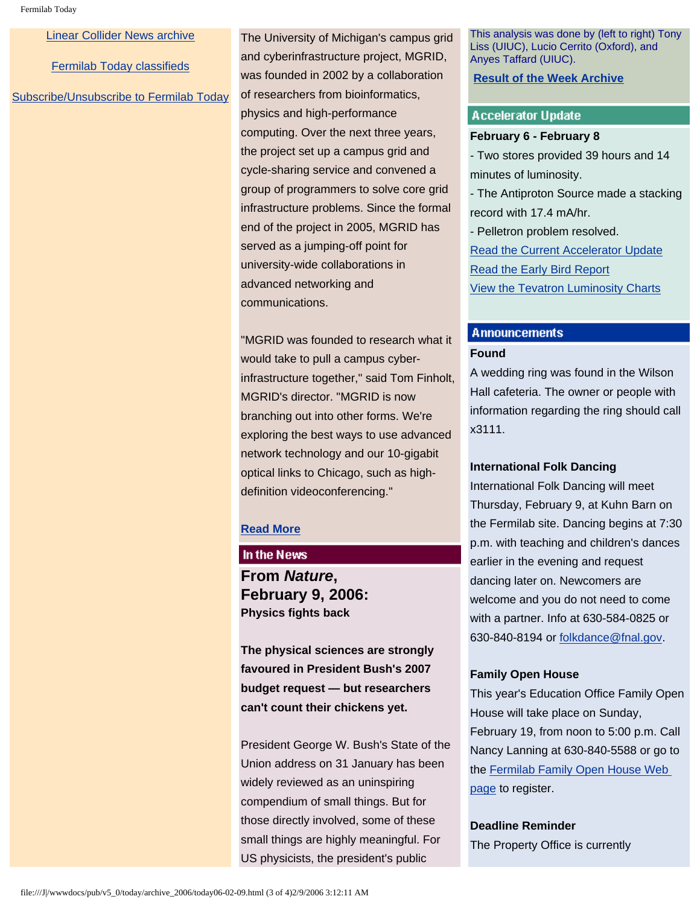[Linear Collider News archive](http://www.fnal.gov/pub/today/linearcollider/index.html)

[Fermilab Today classifieds](http://www.fnal.gov/pub/today/classifieds.html)

[Subscribe/Unsubscribe to Fermilab Today](http://www.fnal.gov/pub/today/subscription.html)

The University of Michigan's campus grid and cyberinfrastructure project, MGRID, was founded in 2002 by a collaboration of researchers from bioinformatics, physics and high-performance computing. Over the next three years, the project set up a campus grid and cycle-sharing service and convened a group of programmers to solve core grid infrastructure problems. Since the formal end of the project in 2005, MGRID has served as a jumping-off point for university-wide collaborations in advanced networking and communications.

"MGRID was founded to research what it would take to pull a campus cyberinfrastructure together," said Tom Finholt, MGRID's director. "MGRID is now branching out into other forms. We're exploring the best ways to use advanced network technology and our 10-gigabit optical links to Chicago, such as highdefinition videoconferencing."

## **[Read More](http://www.interactions.org/sgtw/2006/0208/mgrid_more.html)**

## In the News

**From** *Nature***, February 9, 2006: Physics fights back**

**The physical sciences are strongly favoured in President Bush's 2007 budget request — but researchers can't count their chickens yet.**

President George W. Bush's State of the Union address on 31 January has been widely reviewed as an uninspiring compendium of small things. But for those directly involved, some of these small things are highly meaningful. For US physicists, the president's public

This analysis was done by (left to right) Tony Liss (UIUC), Lucio Cerrito (Oxford), and Anyes Taffard (UIUC).

## **[Result of the Week Archive](http://www.fnal.gov/pub/today/resultoftheweek/index.html)**

#### **Accelerator Update**

#### **February 6 - February 8**

- Two stores provided 39 hours and 14 minutes of luminosity.

- The Antiproton Source made a stacking record with 17.4 mA/hr.

- Pelletron problem resolved. [Read the Current Accelerator Update](http://www.fnal.gov/pub/news06/update.html) [Read the Early Bird Report](http://www-bd.fnal.gov/earlybird/ebird.html) [View the Tevatron Luminosity Charts](http://www.fnal.gov/pub/now/tevlum.html)

# **Announcements**

## **Found**

A wedding ring was found in the Wilson Hall cafeteria. The owner or people with information regarding the ring should call x3111.

#### **International Folk Dancing**

International Folk Dancing will meet Thursday, February 9, at Kuhn Barn on the Fermilab site. Dancing begins at 7:30 p.m. with teaching and children's dances earlier in the evening and request dancing later on. Newcomers are welcome and you do not need to come with a partner. Info at 630-584-0825 or 630-840-8194 or [folkdance@fnal.gov](mailto:folkdance@fnal.gov).

### **Family Open House**

This year's Education Office Family Open House will take place on Sunday, February 19, from noon to 5:00 p.m. Call Nancy Lanning at 630-840-5588 or go to the [Fermilab Family Open House Web](http://www-ed.fnal.gov/ffse/openhouse.html)  [page](http://www-ed.fnal.gov/ffse/openhouse.html) to register.

## **Deadline Reminder**

The Property Office is currently